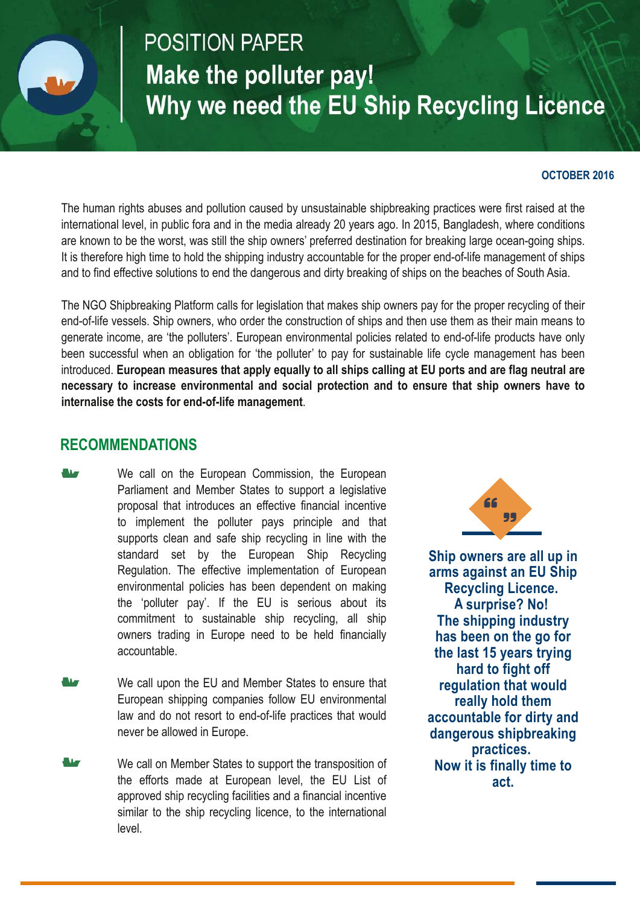

# **POSITION PAPER** Make the polluter pay! Why we need the EU Ship Recycling Licence

#### **OCTOBER 2016**

The human rights abuses and pollution caused by unsustainable shipbreaking practices were first raised at the international level, in public fora and in the media already 20 years ago. In 2015, Bangladesh, where conditions are known to be the worst, was still the ship owners' preferred destination for breaking large ocean-going ships. It is therefore high time to hold the shipping industry accountable for the proper end-of-life management of ships and to find effective solutions to end the dangerous and dirty breaking of ships on the beaches of South Asia.

The NGO Shipbreaking Platform calls for legislation that makes ship owners pay for the proper recycling of their end-of-life vessels. Ship owners, who order the construction of ships and then use them as their main means to generate income, are 'the polluters'. European environmental policies related to end-of-life products have only been successful when an obligation for 'the polluter' to pay for sustainable life cycle management has been introduced. European measures that apply equally to all ships calling at EU ports and are flag neutral are **necessary to increase environmental and social protection and to ensure that ship owners have to internalise the costs for end-of-life management.** 

#### **RECOMMENDATIONS**

We call on the European Commission, the European Parliament and Member States to support a legislative proposal that introduces an effective financial incentive to implement the polluter pays principle and that supports clean and safe ship recycling in line with the standard set by the European Ship Recycling Regulation. The effective implementation of European environmental policies has been dependent on making the 'polluter pay'. If the EU is serious about its commitment to sustainable ship recycling, all ship owners trading in Europe need to be held financially accountable.

- We call upon the EU and Member States to ensure that European shipping companies follow EU environmental law and do not resort to end-of-life practices that would never be allowed in Europe.
- We call on Member States to support the transposition of the efforts made at European level, the EU List of approved ship recycling facilities and a financial incentive similar to the ship recycling licence, to the international level.



**Ship owners are all up in arms against an EU Ship Recycling Licence. A surprise? No! The shipping industry has been on the go for the last 15 years trying hard to fight off regulation that would really hold them accountable for dirty and dangerous shipbreaking practices. Now it is finally time to act.**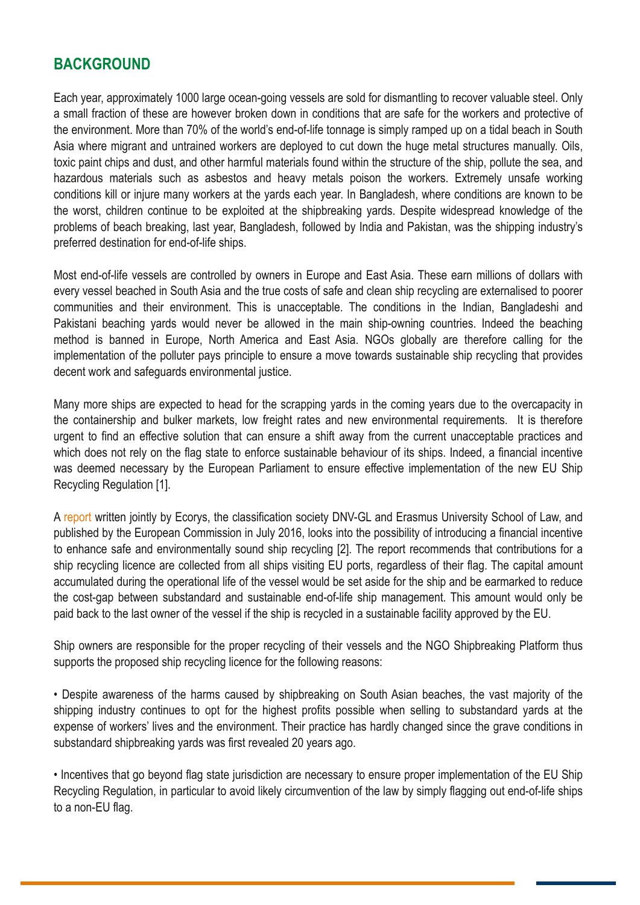## **BACKGROUND**

Each year, approximately 1000 large ocean-going vessels are sold for dismantling to recover valuable steel. Only a small fraction of these are however broken down in conditions that are safe for the workers and protective of the environment. More than 70% of the world's end-of-life tonnage is simply ramped up on a tidal beach in South Asia where migrant and untrained workers are deployed to cut down the huge metal structures manually. Oils, toxic paint chips and dust, and other harmful materials found within the structure of the ship, pollute the sea, and hazardous materials such as asbestos and heavy metals poison the workers. Extremely unsafe working conditions kill or injure many workers at the yards each year. In Bangladesh, where conditions are known to be the worst, children continue to be exploited at the shipbreaking yards. Despite widespread knowledge of the problems of beach breaking, last year, Bangladesh, followed by India and Pakistan, was the shipping industry's preferred destination for end-of-life ships.

Most end-of-life vessels are controlled by owners in Europe and East Asia. These earn millions of dollars with every vessel beached in South Asia and the true costs of safe and clean ship recycling are externalised to poorer communities and their environment. This is unacceptable. The conditions in the Indian, Bangladeshi and Pakistani beaching yards would never be allowed in the main ship-owning countries. Indeed the beaching method is banned in Europe, North America and East Asia. NGOs globally are therefore calling for the implementation of the polluter pays principle to ensure a move towards sustainable ship recycling that provides decent work and safeguards environmental justice.

Many more ships are expected to head for the scrapping yards in the coming years due to the overcapacity in the containership and bulker markets, low freight rates and new environmental requirements. It is therefore urgent to find an effective solution that can ensure a shift away from the current unacceptable practices and which does not rely on the flag state to enforce sustainable behaviour of its ships. Indeed, a financial incentive was deemed necessary by the European Parliament to ensure effective implementation of the new EU Ship Recycling Regulation [1].

A [report](http://ec.europa.eu/environment/waste/ships/pdf/financial_instrument_ship_recycling.pdf) written jointly by Ecorys, the classification society DNV-GL and Erasmus University School of Law, and published by the European Commission in July 2016, looks into the possibility of introducing a financial incentive to enhance safe and environmentally sound ship recycling [2]. The report recommends that contributions for a ship recycling licence are collected from all ships visiting EU ports, regardless of their flag. The capital amount accumulated during the operational life of the vessel would be set aside for the ship and be earmarked to reduce the cost-gap between substandard and sustainable end-of-life ship management. This amount would only be paid back to the last owner of the vessel if the ship is recycled in a sustainable facility approved by the EU.

Ship owners are responsible for the proper recycling of their vessels and the NGO Shipbreaking Platform thus supports the proposed ship recycling licence for the following reasons:

• Despite awareness of the harms caused by shipbreaking on South Asian beaches, the vast majority of the shipping industry continues to opt for the highest profits possible when selling to substandard yards at the expense of workers' lives and the environment. Their practice has hardly changed since the grave conditions in substandard shipbreaking yards was first revealed 20 years ago.

• Incentives that go beyond flag state jurisdiction are necessary to ensure proper implementation of the EU Ship Recycling Regulation, in particular to avoid likely circumvention of the law by simply flagging out end-of-life ships to a non-EU flag.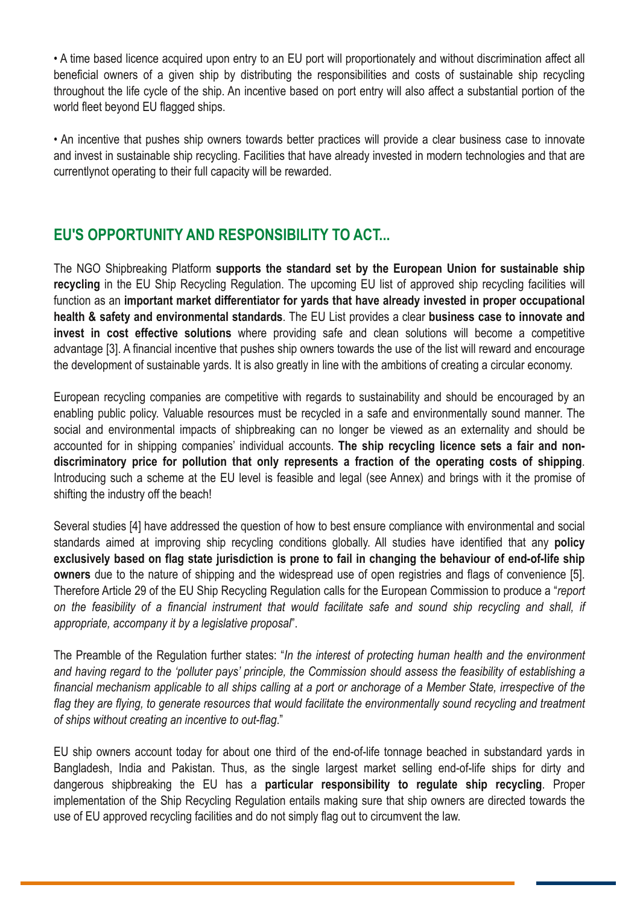• A time based licence acquired upon entry to an EU port will proportionately and without discrimination affect all beneficial owners of a given ship by distributing the responsibilities and costs of sustainable ship recycling throughout the life cycle of the ship. An incentive based on port entry will also affect a substantial portion of the world fleet beyond EU flagged ships.

• An incentive that pushes ship owners towards better practices will provide a clear business case to innovate and invest in sustainable ship recycling. Facilities that have already invested in modern technologies and that are currentlynot operating to their full capacity will be rewarded.

## **EU'S OPPORTUNITY AND RESPONSIBILITY TO ACT...**

The NGO Shipbreaking Platform **supports the standard set by the European Union for sustainable ship recycling** in the EU Ship Recycling Regulation. The upcoming EU list of approved ship recycling facilities will function as an **important market differentiator for yards that have already invested in proper occupational health & safety and environmental standards**. The EU List provides a clear **business case to innovate and invest in cost effective solutions** where providing safe and clean solutions will become a competitive advantage [3]. A financial incentive that pushes ship owners towards the use of the list will reward and encourage the development of sustainable yards. It is also greatly in line with the ambitions of creating a circular economy.

European recycling companies are competitive with regards to sustainability and should be encouraged by an enabling public policy. Valuable resources must be recycled in a safe and environmentally sound manner. The social and environmental impacts of shipbreaking can no longer be viewed as an externality and should be accounted for in shipping companies' individual accounts. **The ship recycling licence sets a fair and nondiscriminatory price for pollution that only represents a fraction of the operating costs of shipping**. Introducing such a scheme at the EU level is feasible and legal (see Annex) and brings with it the promise of shifting the industry off the beach!

Several studies [4] have addressed the question of how to best ensure compliance with environmental and social standards aimed at improving ship recycling conditions globally. All studies have identified that any **policy exclusively based on flag state jurisdiction is prone to fail in changing the behaviour of endoflife ship owners** due to the nature of shipping and the widespread use of open registries and flags of convenience [5]. Therefore Article 29 of the EU Ship Recycling Regulation calls for the European Commission to produce a "*report* on the feasibility of a financial instrument that would facilitate safe and sound ship recycling and shall, if *appropriate, accompany it by a legislative proposal*".

The Preamble of the Regulation further states: "*In the interest of protecting human health and the environment* and having regard to the 'polluter pays' principle, the Commission should assess the feasibility of establishing a financial mechanism applicable to all ships calling at a port or anchorage of a Member State, irrespective of the flag they are flying, to generate resources that would facilitate the environmentally sound recycling and treatment *of ships without creating an incentive to outflag*."

EU ship owners account today for about one third of the end-of-life tonnage beached in substandard yards in Bangladesh, India and Pakistan. Thus, as the single largest market selling end-of-life ships for dirty and dangerous shipbreaking the EU has a **particular responsibility to regulate ship recycling**. Proper implementation of the Ship Recycling Regulation entails making sure that ship owners are directed towards the use of EU approved recycling facilities and do not simply flag out to circumvent the law.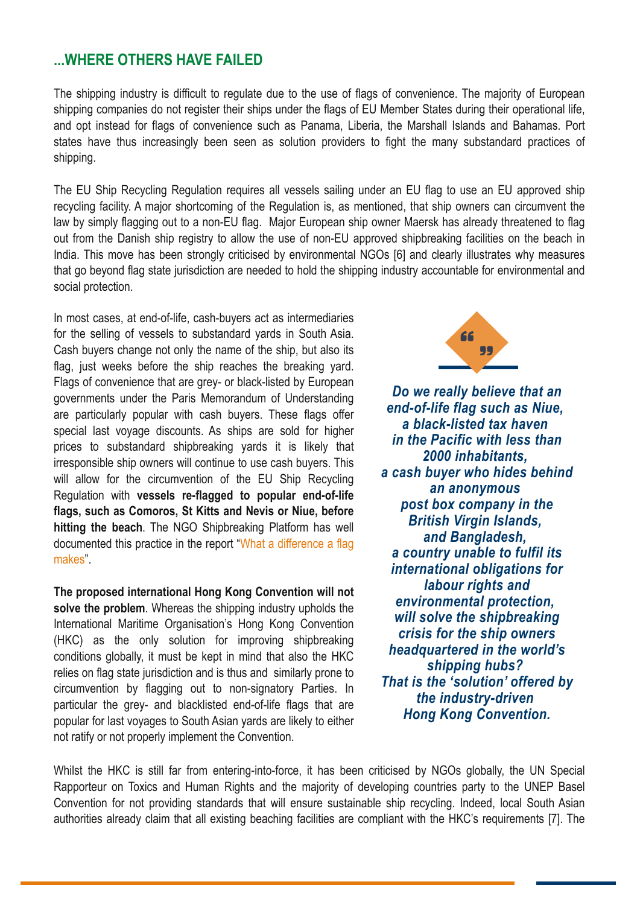## **...WHERE OTHERS HAVE FAILED**

The shipping industry is difficult to regulate due to the use of flags of convenience. The majority of European shipping companies do not register their ships under the flags of EU Member States during their operational life, and opt instead for flags of convenience such as Panama, Liberia, the Marshall Islands and Bahamas. Port states have thus increasingly been seen as solution providers to fight the many substandard practices of shipping.

The EU Ship Recycling Regulation requires all vessels sailing under an EU flag to use an EU approved ship recycling facility. A major shortcoming of the Regulation is, as mentioned, that ship owners can circumvent the law by simply flagging out to a non-EU flag. Major European ship owner Maersk has already threatened to flag out from the Danish ship registry to allow the use of non-EU approved shipbreaking facilities on the beach in India. This move has been strongly criticised by environmental NGOs [6] and clearly illustrates why measures that go beyond flag state jurisdiction are needed to hold the shipping industry accountable for environmental and social protection.

In most cases, at end-of-life, cash-buyers act as intermediaries for the selling of vessels to substandard yards in South Asia. Cash buyers change not only the name of the ship, but also its flag, just weeks before the ship reaches the breaking yard. Flags of convenience that are grey- or black-listed by European governments under the Paris Memorandum of Understanding are particularly popular with cash buyers. These flags offer special last voyage discounts. As ships are sold for higher prices to substandard shipbreaking yards it is likely that irresponsible ship owners will continue to use cash buyers. This will allow for the circumvention of the EU Ship Recycling Regulation with **vessels reflagged to popular endoflife flags, such as Comoros, St Kitts and Nevis or Niue, before hitting the beach**. The NGO Shipbreaking Platform has well documented this practice in the report "What a [difference](http://www.shipbreakingplatform.org/ngo-platform-what-a-difference-a-flag-makes-why-ship-owners-responsibility-to-ensure-sustainable-ship-recycling-needs-to-go-beyond-flag-state-jurisdiction/) a flag [makes"](http://www.shipbreakingplatform.org/ngo-platform-what-a-difference-a-flag-makes-why-ship-owners-responsibility-to-ensure-sustainable-ship-recycling-needs-to-go-beyond-flag-state-jurisdiction/).

**The proposed international Hong Kong Convention will not solve the problem**. Whereas the shipping industry upholds the International Maritime Organisation's Hong Kong Convention (HKC) as the only solution for improving shipbreaking conditions globally, it must be kept in mind that also the HKC relies on flag state jurisdiction and is thus and similarly prone to circumvention by flagging out to nonsignatory Parties. In particular the grey- and blacklisted end-of-life flags that are popular for last voyages to South Asian yards are likely to either not ratify or not properly implement the Convention.



*Do we really believe that an endoflife flag such as Niue,*  $a$  *black-listed tax haven in the Pacific with less than 2000 inhabitants, a cash buyer who hides behind an anonymous post box company in the British Virgin Islands, and Bangladesh, a country unable to fulfil its international obligations for labour rights and environmental protection, will solve the shipbreaking crisis for the ship owners headquartered in the world's shipping hubs? That is the 'solution' offered by the industry-driven Hong Kong Convention.*

Whilst the HKC is still far from entering-into-force, it has been criticised by NGOs globally, the UN Special Rapporteur on Toxics and Human Rights and the majority of developing countries party to the UNEP Basel Convention for not providing standards that will ensure sustainable ship recycling. Indeed, local South Asian authorities already claim that all existing beaching facilities are compliant with the HKC's requirements [7]. The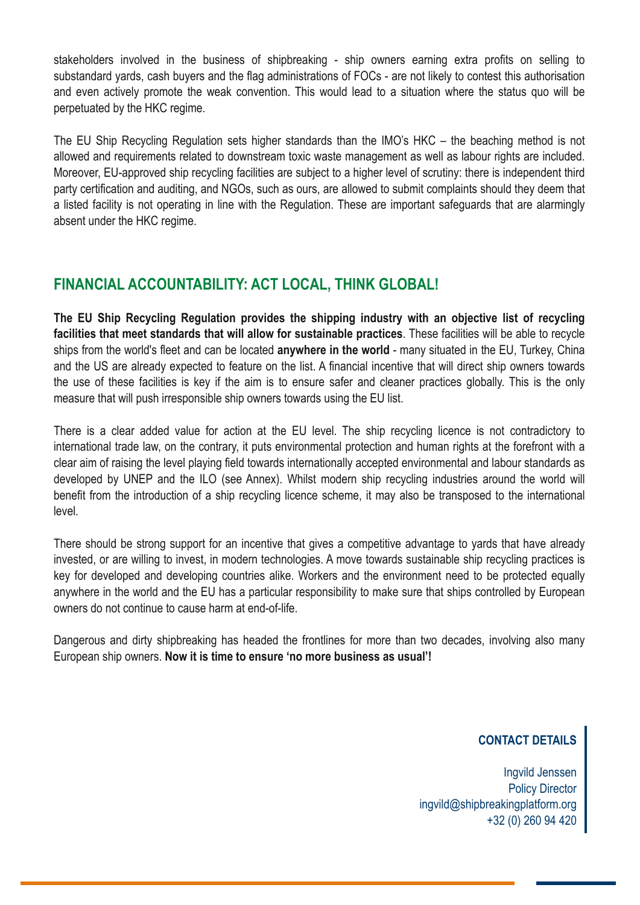stakeholders involved in the business of shipbreaking - ship owners earning extra profits on selling to substandard yards, cash buyers and the flag administrations of FOCs - are not likely to contest this authorisation and even actively promote the weak convention. This would lead to a situation where the status quo will be perpetuated by the HKC regime.

The EU Ship Recycling Regulation sets higher standards than the IMO's HKC – the beaching method is not allowed and requirements related to downstream toxic waste management as well as labour rights are included. Moreover, EU-approved ship recycling facilities are subject to a higher level of scrutiny: there is independent third party certification and auditing, and NGOs, such as ours, are allowed to submit complaints should they deem that a listed facility is not operating in line with the Regulation. These are important safeguards that are alarmingly absent under the HKC regime.

# **FINANCIAL ACCOUNTABILITY: ACT LOCAL, THINK GLOBAL!**

**The EU Ship Recycling Regulation provides the shipping industry with an objective list of recycling facilities that meet standards that will allow for sustainable practices**. These facilities will be able to recycle ships from the world's fleet and can be located **anywhere in the world** many situated in the EU, Turkey, China and the US are already expected to feature on the list. A financial incentive that will direct ship owners towards the use of these facilities is key if the aim is to ensure safer and cleaner practices globally. This is the only measure that will push irresponsible ship owners towards using the EU list.

There is a clear added value for action at the EU level. The ship recycling licence is not contradictory to international trade law, on the contrary, it puts environmental protection and human rights at the forefront with a clear aim of raising the level playing field towards internationally accepted environmental and labour standards as developed by UNEP and the ILO (see Annex). Whilst modern ship recycling industries around the world will benefit from the introduction of a ship recycling licence scheme, it may also be transposed to the international level.

There should be strong support for an incentive that gives a competitive advantage to yards that have already invested, or are willing to invest, in modern technologies. A move towards sustainable ship recycling practices is key for developed and developing countries alike. Workers and the environment need to be protected equally anywhere in the world and the EU has a particular responsibility to make sure that ships controlled by European owners do not continue to cause harm at end-of-life.

Dangerous and dirty shipbreaking has headed the frontlines for more than two decades, involving also many European ship owners. **Now it is time to ensure 'no more business as usual'!**

### **CONTACT DETAILS**

Ingvild Jenssen Policy Director ingvild@shipbreakingplatform.org +32 (0) 260 94 420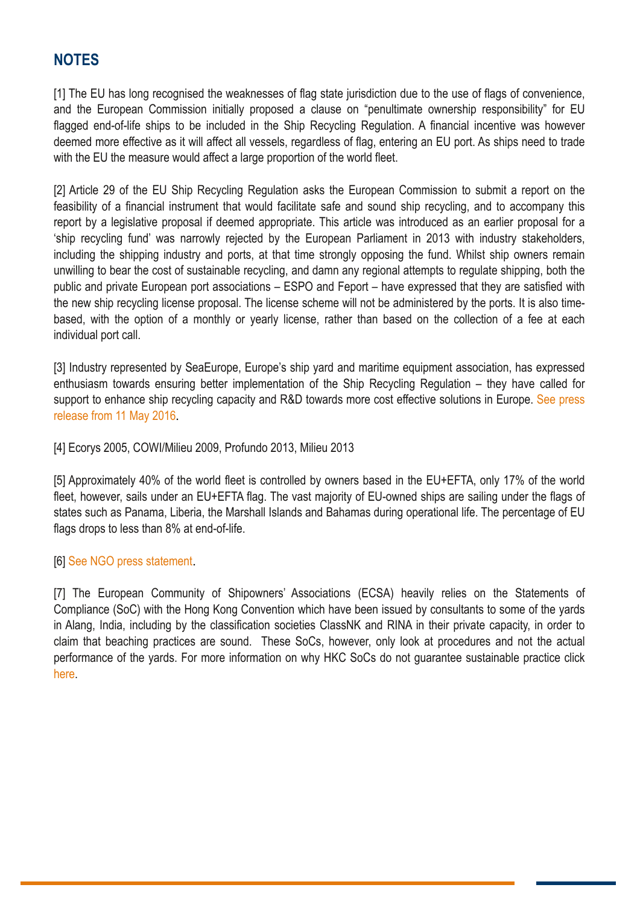# **NOTES**

[1] The EU has long recognised the weaknesses of flag state jurisdiction due to the use of flags of convenience, and the European Commission initially proposed a clause on "penultimate ownership responsibility" for EU flagged end-of-life ships to be included in the Ship Recycling Regulation. A financial incentive was however deemed more effective as it will affect all vessels, regardless of flag, entering an EU port. As ships need to trade with the EU the measure would affect a large proportion of the world fleet.

[2] Article 29 of the EU Ship Recycling Regulation asks the European Commission to submit a report on the feasibility of a financial instrument that would facilitate safe and sound ship recycling, and to accompany this report by a legislative proposal if deemed appropriate. This article was introduced as an earlier proposal for a 'ship recycling fund' was narrowly rejected by the European Parliament in 2013 with industry stakeholders, including the shipping industry and ports, at that time strongly opposing the fund. Whilst ship owners remain unwilling to bear the cost of sustainable recycling, and damn any regional attempts to regulate shipping, both the public and private European port associations – ESPO and Feport – have expressed that they are satisfied with the new ship recycling license proposal. The license scheme will not be administered by the ports. It is also timebased, with the option of a monthly or yearly license, rather than based on the collection of a fee at each individual port call.

[3] Industry represented by SeaEurope, Europe's ship yard and maritime equipment association, has expressed enthusiasm towards ensuring better implementation of the Ship Recycling Regulation – they have called for support to enhance ship recycling capacity and R&D towards more cost effective solutions in Europe. See [press](http://www.seaeurope.eu/template.asp?f=pressreleases.asp) [release](http://www.seaeurope.eu/template.asp?f=pressreleases.asp) from 11 May 2016

[4] Ecorys 2005, COWI/Milieu 2009, Profundo 2013, Milieu 2013

[5] Approximately 40% of the world fleet is controlled by owners based in the EU+EFTA, only 17% of the world fleet, however, sails under an EU+EFTA flag. The vast majority of EU-owned ships are sailing under the flags of states such as Panama, Liberia, the Marshall Islands and Bahamas during operational life. The percentage of EU flags drops to less than 8% at end-of-life.

#### [6] See NGO press [statement](https://www.transportenvironment.org/press/maersk-?undermining-its-reputation?-plan-circumvent-environmental-laws-ship-recycling)

[7] The European Community of Shipowners' Associations (ECSA) heavily relies on the Statements of Compliance (SoC) with the Hong Kong Convention which have been issued by consultants to some of the yards in Alang, India, including by the classification societies ClassNK and RINA in their private capacity, in order to claim that beaching practices are sound. These SoCs, however, only look at procedures and not the actual performance of the yards. For more information on why HKC SoCs do not guarantee sustainable practice click [here.](http://www.shipbreakingplatform.org/platform-news-ecsas-alang-report-turns-a-blind-eye-on-problems-of-beaching-method/)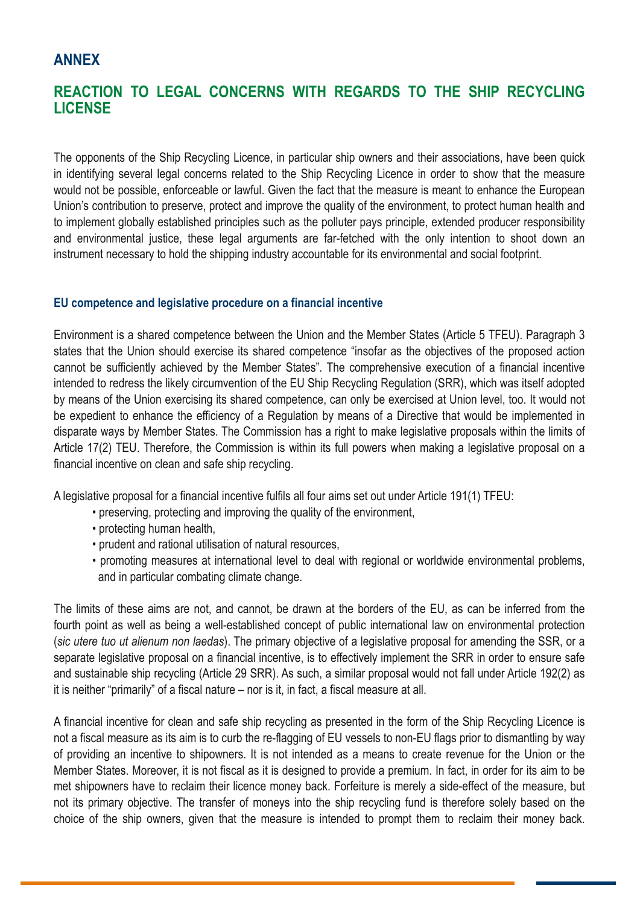## **ANNEX**

# **REACTION TO LEGAL CONCERNS WITH REGARDS TO THE SHIP RECYCLING LICENSE**

The opponents of the Ship Recycling Licence, in particular ship owners and their associations, have been quick in identifying several legal concerns related to the Ship Recycling Licence in order to show that the measure would not be possible, enforceable or lawful. Given the fact that the measure is meant to enhance the European Union's contribution to preserve, protect and improve the quality of the environment, to protect human health and to implement globally established principles such as the polluter pays principle, extended producer responsibility and environmental justice, these legal arguments are far-fetched with the only intention to shoot down an instrument necessary to hold the shipping industry accountable for its environmental and social footprint.

#### **EU competence and legislative procedure on a financial incentive**

Environment is a shared competence between the Union and the Member States (Article 5 TFEU). Paragraph 3 states that the Union should exercise its shared competence "insofar as the objectives of the proposed action cannot be sufficiently achieved by the Member States". The comprehensive execution of a financial incentive intended to redress the likely circumvention of the EU Ship Recycling Regulation (SRR), which was itself adopted by means of the Union exercising its shared competence, can only be exercised at Union level, too. It would not be expedient to enhance the efficiency of a Regulation by means of a Directive that would be implemented in disparate ways by Member States. The Commission has a right to make legislative proposals within the limits of Article 17(2) TEU. Therefore, the Commission is within its full powers when making a legislative proposal on a financial incentive on clean and safe ship recycling.

A legislative proposal for a financial incentive fulfils all four aims set out under Article 191(1) TFEU:

- preserving, protecting and improving the quality of the environment,
- protecting human health,
- prudent and rational utilisation of natural resources,
- promoting measures at international level to deal with regional or worldwide environmental problems, and in particular combating climate change.

The limits of these aims are not, and cannot, be drawn at the borders of the EU, as can be inferred from the fourth point as well as being a well-established concept of public international law on environmental protection (*sic utere tuo ut alienum non laedas*). The primary objective of a legislative proposal for amending the SSR, or a separate legislative proposal on a financial incentive, is to effectively implement the SRR in order to ensure safe and sustainable ship recycling (Article 29 SRR). As such, a similar proposal would not fall under Article 192(2) as it is neither "primarily" of a fiscal nature – nor is it, in fact, a fiscal measure at all.

A financial incentive for clean and safe ship recycling as presented in the form of the Ship Recycling Licence is not a fiscal measure as its aim is to curb the re-flagging of EU vessels to non-EU flags prior to dismantling by way of providing an incentive to shipowners. It is not intended as a means to create revenue for the Union or the Member States. Moreover, it is not fiscal as it is designed to provide a premium. In fact, in order for its aim to be met shipowners have to reclaim their licence money back. Forfeiture is merely a side-effect of the measure, but not its primary objective. The transfer of moneys into the ship recycling fund is therefore solely based on the choice of the ship owners, given that the measure is intended to prompt them to reclaim their money back.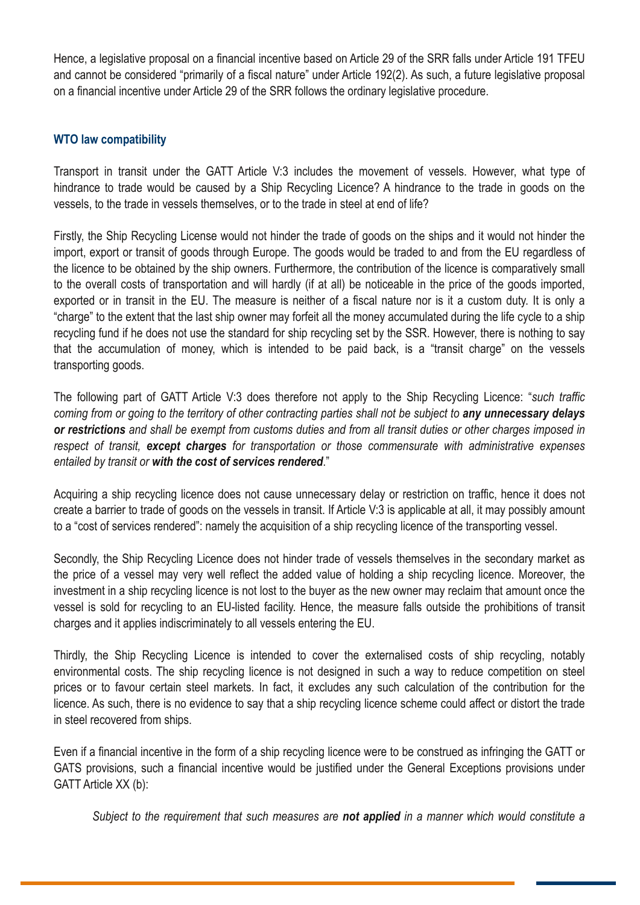Hence, a legislative proposal on a financial incentive based on Article 29 of the SRR falls under Article 191 TFEU and cannot be considered "primarily of a fiscal nature" under Article 192(2). As such, a future legislative proposal on a financial incentive under Article 29 of the SRR follows the ordinary legislative procedure.

#### **WTO law compatibility**

Transport in transit under the GATT Article V:3 includes the movement of vessels. However, what type of hindrance to trade would be caused by a Ship Recycling Licence? A hindrance to the trade in goods on the vessels, to the trade in vessels themselves, or to the trade in steel at end of life?

Firstly, the Ship Recycling License would not hinder the trade of goods on the ships and it would not hinder the import, export or transit of goods through Europe. The goods would be traded to and from the EU regardless of the licence to be obtained by the ship owners. Furthermore, the contribution of the licence is comparatively small to the overall costs of transportation and will hardly (if at all) be noticeable in the price of the goods imported, exported or in transit in the EU. The measure is neither of a fiscal nature nor is it a custom duty. It is only a "charge" to the extent that the last ship owner may forfeit all the money accumulated during the life cycle to a ship recycling fund if he does not use the standard for ship recycling set by the SSR. However, there is nothing to say that the accumulation of money, which is intended to be paid back, is a "transit charge" on the vessels transporting goods.

The following part of GATT Article V:3 does therefore not apply to the Ship Recycling Licence: "*such traffic* coming from or going to the territory of other contracting parties shall not be subject to any unnecessary delays or restrictions and shall be exempt from customs duties and from all transit duties or other charges imposed in *respect of transit, except charges for transportation or those commensurate with administrative expenses entailed by transit or with the cost of services rendered*."

Acquiring a ship recycling licence does not cause unnecessary delay or restriction on traffic, hence it does not create a barrier to trade of goods on the vessels in transit. If Article V:3 is applicable at all, it may possibly amount to a "cost of services rendered": namely the acquisition of a ship recycling licence of the transporting vessel.

Secondly, the Ship Recycling Licence does not hinder trade of vessels themselves in the secondary market as the price of a vessel may very well reflect the added value of holding a ship recycling licence. Moreover, the investment in a ship recycling licence is not lost to the buyer as the new owner may reclaim that amount once the vessel is sold for recycling to an EU-listed facility. Hence, the measure falls outside the prohibitions of transit charges and it applies indiscriminately to all vessels entering the EU.

Thirdly, the Ship Recycling Licence is intended to cover the externalised costs of ship recycling, notably environmental costs. The ship recycling licence is not designed in such a way to reduce competition on steel prices or to favour certain steel markets. In fact, it excludes any such calculation of the contribution for the licence. As such, there is no evidence to say that a ship recycling licence scheme could affect or distort the trade in steel recovered from ships.

Even if a financial incentive in the form of a ship recycling licence were to be construed as infringing the GATT or GATS provisions, such a financial incentive would be justified under the General Exceptions provisions under GATT Article XX (b):

*Subject to the requirement that such measures are not applied in a manner which would constitute a*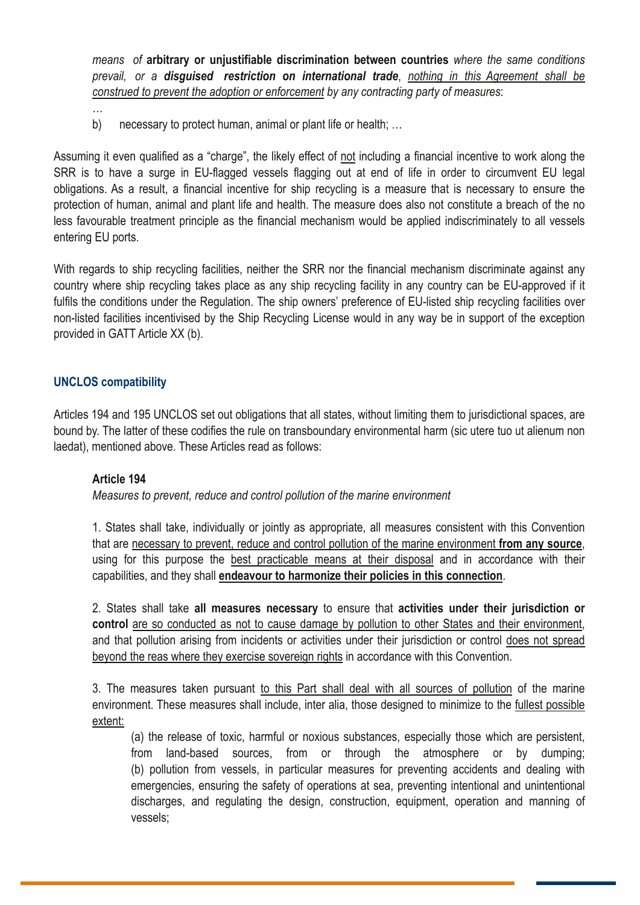*means of* **arbitrary or unjustifiable discrimination between countries** *where the same conditions prevail, or a disguised restriction on international trade*, *nothing in this Agreement shall be construed to prevent the adoption or enforcement by any contracting party of measures*:

b) necessary to protect human, animal or plant life or health; ...

Assuming it even qualified as a "charge", the likely effect of not including a financial incentive to work along the SRR is to have a surge in EU-flagged vessels flagging out at end of life in order to circumvent EU legal obligations. As a result, a financial incentive for ship recycling is a measure that is necessary to ensure the protection of human, animal and plant life and health. The measure does also not constitute a breach of the no less favourable treatment principle as the financial mechanism would be applied indiscriminately to all vessels entering EU ports.

With regards to ship recycling facilities, neither the SRR nor the financial mechanism discriminate against any country where ship recycling takes place as any ship recycling facility in any country can be EU-approved if it fulfils the conditions under the Regulation. The ship owners' preference of EU-listed ship recycling facilities over non-listed facilities incentivised by the Ship Recycling License would in any way be in support of the exception provided in GATT Article XX (b).

#### **UNCLOS compatibility**

…

Articles 194 and 195 UNCLOS set out obligations that all states, without limiting them to jurisdictional spaces, are bound by. The latter of these codifies the rule on transboundary environmental harm (sic utere tuo ut alienum non laedat), mentioned above. These Articles read as follows:

#### **Article 194**

*Measures to prevent, reduce and control pollution of the marine environment*

1. States shall take, individually or jointly as appropriate, all measures consistent with this Convention that are necessary to prevent, reduce and control pollution of the marine environment **from any source**, using for this purpose the best practicable means at their disposal and in accordance with their capabilities, and they shall **endeavour to harmonize their policies in this connection**.

2. States shall take **all measures necessary** to ensure that **activities under their jurisdiction or control** are so conducted as not to cause damage by pollution to other States and their environment, and that pollution arising from incidents or activities under their jurisdiction or control does not spread beyond the reas where they exercise sovereign rights in accordance with this Convention.

3. The measures taken pursuant to this Part shall deal with all sources of pollution of the marine environment. These measures shall include, inter alia, those designed to minimize to the fullest possible extent:

(a) the release of toxic, harmful or noxious substances, especially those which are persistent, from land-based sources, from or through the atmosphere or by dumping; (b) pollution from vessels, in particular measures for preventing accidents and dealing with emergencies, ensuring the safety of operations at sea, preventing intentional and unintentional discharges, and regulating the design, construction, equipment, operation and manning of vessels;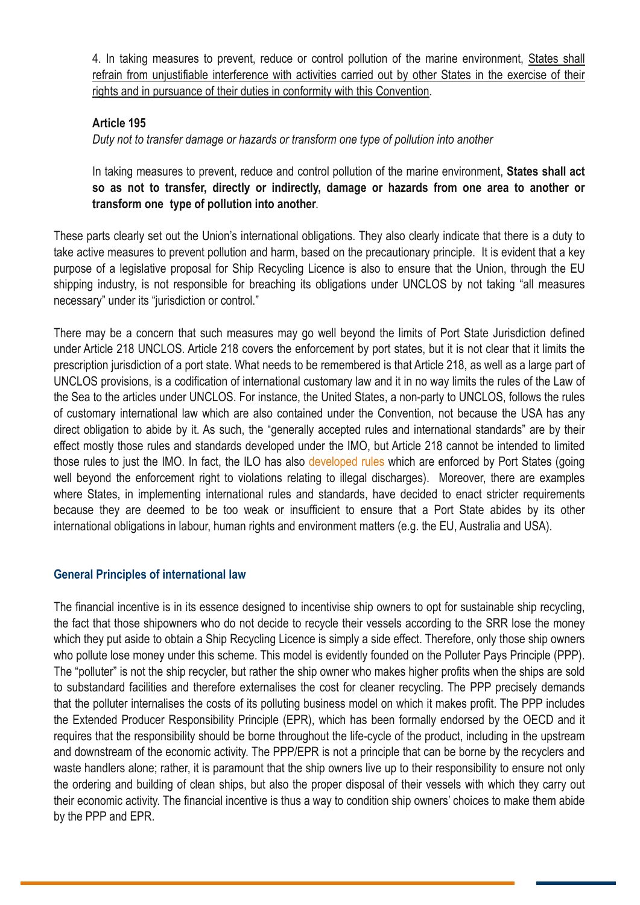4. In taking measures to prevent, reduce or control pollution of the marine environment, States shall refrain from unjustifiable interference with activities carried out by other States in the exercise of their rights and in pursuance of their duties in conformity with this Convention.

#### **Article 195**

*Duty not to transfer damage or hazards or transform one type of pollution into another*

In taking measures to prevent, reduce and control pollution of the marine environment, **States shall act so as not to transfer, directly or indirectly, damage or hazards from one area to another or transform one type of pollution into another**.

These parts clearly set out the Union's international obligations. They also clearly indicate that there is a duty to take active measures to prevent pollution and harm, based on the precautionary principle. It is evident that a key purpose of a legislative proposal for Ship Recycling Licence is also to ensure that the Union, through the EU shipping industry, is not responsible for breaching its obligations under UNCLOS by not taking "all measures necessary" under its "jurisdiction or control."

There may be a concern that such measures may go well beyond the limits of Port State Jurisdiction defined under Article 218 UNCLOS. Article 218 covers the enforcement by port states, but it is not clear that it limits the prescription jurisdiction of a port state. What needs to be remembered is that Article 218, as well as a large part of UNCLOS provisions, is a codification of international customary law and it in no way limits the rules of the Law of the Sea to the articles under UNCLOS. For instance, the United States, a non-party to UNCLOS, follows the rules of customary international law which are also contained under the Convention, not because the USA has any direct obligation to abide by it. As such, the "generally accepted rules and international standards" are by their effect mostly those rules and standards developed under the IMO, but Article 218 cannot be intended to limited those rules to just the IMO. In fact, the ILO has also [developed](http://www.ilo.org/global/standards/subjects-covered-by-international-labour-standards/seafarers/lang--en/index.htm) rules which are enforced by Port States (going well beyond the enforcement right to violations relating to illegal discharges). Moreover, there are examples where States, in implementing international rules and standards, have decided to enact stricter requirements because they are deemed to be too weak or insufficient to ensure that a Port State abides by its other international obligations in labour, human rights and environment matters (e.g. the EU, Australia and USA).

#### **General Principles of international law**

The financial incentive is in its essence designed to incentivise ship owners to opt for sustainable ship recycling, the fact that those shipowners who do not decide to recycle their vessels according to the SRR lose the money which they put aside to obtain a Ship Recycling Licence is simply a side effect. Therefore, only those ship owners who pollute lose money under this scheme. This model is evidently founded on the Polluter Pays Principle (PPP). The "polluter" is not the ship recycler, but rather the ship owner who makes higher profits when the ships are sold to substandard facilities and therefore externalises the cost for cleaner recycling. The PPP precisely demands that the polluter internalises the costs of its polluting business model on which it makes profit. The PPP includes the Extended Producer Responsibility Principle (EPR), which has been formally endorsed by the OECD and it requires that the responsibility should be borne throughout the life-cycle of the product, including in the upstream and downstream of the economic activity. The PPP/EPR is not a principle that can be borne by the recyclers and waste handlers alone; rather, it is paramount that the ship owners live up to their responsibility to ensure not only the ordering and building of clean ships, but also the proper disposal of their vessels with which they carry out their economic activity. The financial incentive is thus a way to condition ship owners' choices to make them abide by the PPP and EPR.